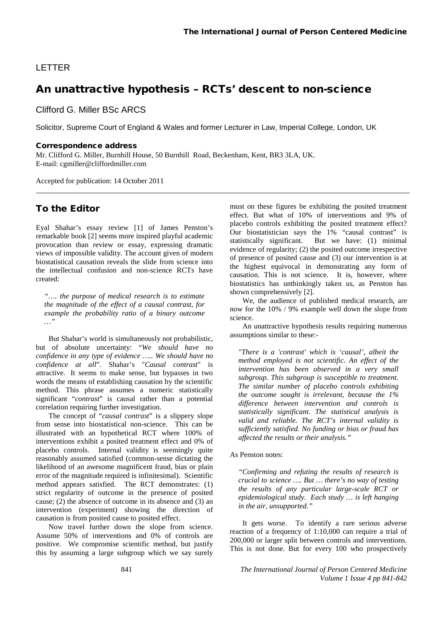## LETTER

# An unattractive hypothesis – RCTs' descent to non-science

Clifford G. Miller BSc ARCS

Solicitor, Supreme Court of England & Wales and former Lecturer in Law, Imperial College, London, UK

#### Correspondence address

Mr. Clifford G. Miller, Burnhill House, 50 Burnhill Road, Beckenham, Kent, BR3 3LA, UK. E-mail[: cgmiller@cliffordmiller.com](mailto:cgmiller@cliffordmiller.com)

Accepted for publication: 14 October 2011

### To the Editor

Eyal Shahar's essay review [1] of James Penston's remarkable book [2] seems more inspired playful academic provocation than review or essay, expressing dramatic views of impossible validity. The account given of modern biostatistical causation reveals the slide from science into the intellectual confusion and non-science RCTs have created:

*"…. the purpose of medical research is to estimate the magnitude of the effect of a causal contrast, for example the probability ratio of a binary outcome …"* 

But Shahar's world is simultaneously not probabilistic, but of absolute uncertainty: "*We should have no confidence in any type of evidence ….. We should have no confidence at all*". Shahar's "*Causal contrast*" is attractive. It seems to make sense, but bypasses in two words the means of establishing causation by the scientific method. This phrase assumes a numeric statistically significant "*contrast*" is causal rather than a potential correlation requiring further investigation.

The concept of "*causal contrast*" is a slippery slope from sense into biostatistical non-science. This can be illustrated with an hypothetical RCT where 100% of interventions exhibit a posited treatment effect and 0% of placebo controls. Internal validity is seemingly quite reasonably assumed satisfied (common-sense dictating the likelihood of an awesome magnificent fraud, bias or plain error of the magnitude required is infinitesimal). Scientific method appears satisfied. The RCT demonstrates: (1) strict regularity of outcome in the presence of posited cause; (2) the absence of outcome in its absence and (3) an intervention (experiment) showing the direction of causation is from posited cause to posited effect.

Now travel further down the slope from science. Assume 50% of interventions and 0% of controls are positive. We compromise scientific method, but justify this by assuming a large subgroup which we say surely must on these figures be exhibiting the posited treatment effect. But what of 10% of interventions and 9% of placebo controls exhibiting the posited treatment effect? Our biostatistician says the 1% "causal contrast" is statistically significant. But we have: (1) minimal evidence of regularity; (2) the posited outcome irrespective of presence of posited cause and (3) our intervention is at the highest equivocal in demonstrating any form of causation. This is not science. It is, however, where biostatistics has unthinkingly taken us, as Penston has shown comprehensively [2].

We, the audience of published medical research, are now for the 10% / 9% example well down the slope from science.

An unattractive hypothesis results requiring numerous assumptions similar to these:-

*"There is a 'contrast' which is 'causal', albeit the method employed is not scientific. An effect of the intervention has been observed in a very small subgroup. This subgroup is susceptible to treatment. The similar number of placebo controls exhibiting the outcome sought is irrelevant, because the 1% difference between intervention and controls is statistically significant. The statistical analysis is valid and reliable. The RCT's internal validity is sufficiently satisfied. No funding or bias or fraud has affected the results or their analysis."*

#### As Penston notes:

*"Confirming and refuting the results of research is crucial to science …. But … there's no way of testing the results of any particular large-scale RCT or epidemiological study. Each study … is left hanging in the air, unsupported."* 

It gets worse. To identify a rare serious adverse reaction of a frequency of 1:10,000 can require a trial of 200,000 or larger split between controls and interventions. This is not done. But for every 100 who prospectively

841 *The International Journal of Person Centered Medicine Volume 1 Issue 4 pp 841-842*